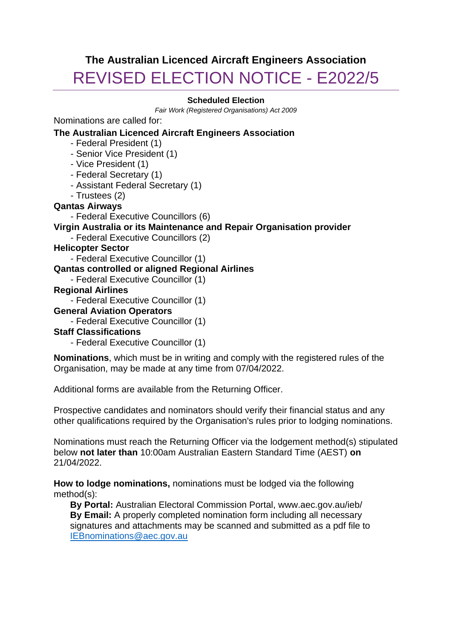# **The Australian Licenced Aircraft Engineers Association** REVISED ELECTION NOTICE - E2022/5

#### **Scheduled Election**

*Fair Work (Registered Organisations) Act 2009*

Nominations are called for:

#### **The Australian Licenced Aircraft Engineers Association**

- Federal President (1)
- Senior Vice President (1)
- Vice President (1)
- Federal Secretary (1)
- Assistant Federal Secretary (1)
- Trustees (2)

## **Qantas Airways**

- Federal Executive Councillors (6)

## **Virgin Australia or its Maintenance and Repair Organisation provider**

- Federal Executive Councillors (2)

## **Helicopter Sector**

- Federal Executive Councillor (1)

## **Qantas controlled or aligned Regional Airlines**

- Federal Executive Councillor (1)

#### **Regional Airlines**

- Federal Executive Councillor (1)

## **General Aviation Operators**

- Federal Executive Councillor (1)

## **Staff Classifications**

- Federal Executive Councillor (1)

**Nominations**, which must be in writing and comply with the registered rules of the Organisation, may be made at any time from 07/04/2022.

Additional forms are available from the Returning Officer.

Prospective candidates and nominators should verify their financial status and any other qualifications required by the Organisation's rules prior to lodging nominations.

Nominations must reach the Returning Officer via the lodgement method(s) stipulated below **not later than** 10:00am Australian Eastern Standard Time (AEST) **on** 21/04/2022.

**How to lodge nominations,** nominations must be lodged via the following method(s):

**By Portal:** Australian Electoral Commission Portal, www.aec.gov.au/ieb/ **By Email:** A properly completed nomination form including all necessary signatures and attachments may be scanned and submitted as a pdf file to [IEBnominations@aec.gov.au](mailto:IEBnominations@aec.gov.au)